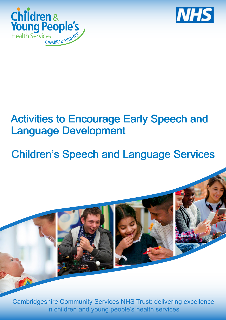



## Activities to Encourage Early Speech and Language Development

# Children's Speech and Language Services



Cambridgeshire Community Services NHS Trust: delivering excellence in children and young people's health services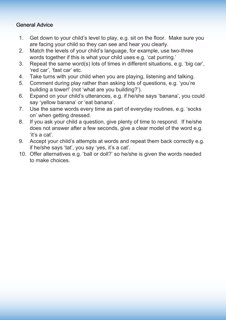#### General Advice

- 1. Get down to your child's level to play, e.g. sit on the floor. Make sure you are facing your child so they can see and hear you clearly.
- 2. Match the levels of your child's language, for example, use two-three words together if this is what your child uses e.g. 'cat purring.'
- 3. Repeat the same word(s) lots of times in different situations, e.g. 'big car', 'red car', 'fast car' etc.
- 4. Take turns with your child when you are playing, listening and talking.
- 5. Comment during play rather than asking lots of questions, e.g. 'you're building a tower!' (not 'what are you building?').
- 6. Expand on your child's utterances, e.g. if he/she says 'banana', you could say 'yellow banana' or 'eat banana'.
- 7. Use the same words every time as part of everyday routines, e.g. 'socks on' when getting dressed.
- 8. If you ask your child a question, give plenty of time to respond. If he/she does not answer after a few seconds, give a clear model of the word e.g. 'it's a cat'.
- 9. Accept your child's attempts at words and repeat them back correctly e.g. if he/she says 'tat', you say 'yes, it's a cat'.
- 10. Offer alternatives e.g. 'ball or doll?' so he/she is given the words needed to make choices.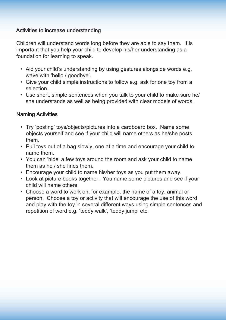#### Activities to increase understanding

Children will understand words long before they are able to say them. It is important that you help your child to develop his/her understanding as a foundation for learning to speak.

- Aid your child's understanding by using gestures alongside words e.g. wave with 'hello / goodbye'.
- Give your child simple instructions to follow e.g. ask for one toy from a selection.
- Use short, simple sentences when you talk to your child to make sure he/ she understands as well as being provided with clear models of words.

#### Naming Activities

- Try 'posting' toys/objects/pictures into a cardboard box. Name some objects yourself and see if your child will name others as he/she posts them.
- Pull toys out of a bag slowly, one at a time and encourage your child to name them.
- You can 'hide' a few toys around the room and ask your child to name them as he / she finds them.
- Encourage your child to name his/her toys as you put them away.
- Look at picture books together. You name some pictures and see if your child will name others.
- Choose a word to work on, for example, the name of a toy, animal or person. Choose a toy or activity that will encourage the use of this word and play with the toy in several different ways using simple sentences and repetition of word e.g. 'teddy walk', 'teddy jump' etc.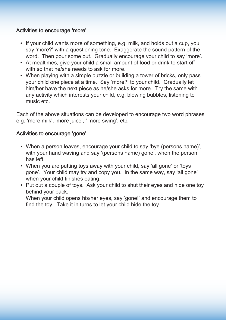#### Activities to encourage 'more'

- If your child wants more of something, e.g. milk, and holds out a cup, you say 'more?' with a questioning tone. Exaggerate the sound pattern of the word. Then pour some out. Gradually encourage your child to say 'more'.
- At mealtimes, give your child a small amount of food or drink to start off with so that he/she needs to ask for more.
- When playing with a simple puzzle or building a tower of bricks, only pass your child one piece at a time. Say 'more?' to your child. Gradually let him/her have the next piece as he/she asks for more. Try the same with any activity which interests your child, e.g. blowing bubbles, listening to music etc.

Each of the above situations can be developed to encourage two word phrases e.g. 'more milk', 'more juice', ' more swing', etc.

#### Activities to encourage 'gone'

- When a person leaves, encourage your child to say 'bye (persons name)', with your hand waving and say '(persons name) gone', when the person has left.
- When you are putting toys away with your child, say 'all gone' or 'toys gone'. Your child may try and copy you. In the same way, say 'all gone' when your child finishes eating.
- Put out a couple of toys. Ask your child to shut their eyes and hide one toy behind your back.

When your child opens his/her eyes, say 'gone!' and encourage them to find the toy. Take it in turns to let your child hide the toy.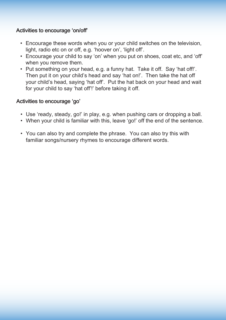#### Activities to encourage 'on/off'

- Encourage these words when you or your child switches on the television, light, radio etc on or off, e.g. 'hoover on', 'light off'.
- Encourage your child to say 'on' when you put on shoes, coat etc, and 'off' when you remove them.
- Put something on your head, e.g. a funny hat. Take it off. Say 'hat off!'. Then put it on your child's head and say 'hat on!'. Then take the hat off your child's head, saying 'hat off'. Put the hat back on your head and wait for your child to say 'hat off'!' before taking it off.

#### Activities to encourage 'go'

- Use 'ready, steady, go!' in play, e.g. when pushing cars or dropping a ball.
- When your child is familiar with this, leave 'go!' off the end of the sentence.
- You can also try and complete the phrase. You can also try this with familiar songs/nursery rhymes to encourage different words.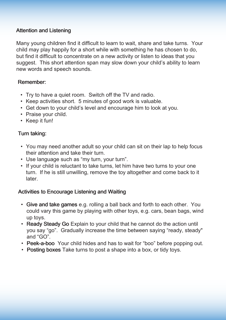#### Attention and Listening

Many young children find it difficult to learn to wait, share and take turns. Your child may play happily for a short while with something he has chosen to do, but find it difficult to concentrate on a new activity or listen to ideas that you suggest. This short attention span may slow down your child's ability to learn new words and speech sounds.

#### Remember:

- Try to have a quiet room. Switch off the TV and radio.
- Keep activities short. 5 minutes of good work is valuable.
- Get down to your child's level and encourage him to look at you.
- Praise your child.
- Keep it fun!

#### Turn taking:

- You may need another adult so your child can sit on their lap to help focus their attention and take their turn.
- Use language such as "my turn, your turn".
- If your child is reluctant to take turns, let him have two turns to your one turn. If he is still unwilling, remove the toy altogether and come back to it later.

#### Activities to Encourage Listening and Waiting

- Give and take games e.g. rolling a ball back and forth to each other. You could vary this game by playing with other toys, e.g. cars, bean bags, wind up toys.
- Ready Steady Go Explain to your child that he cannot do the action until you say "go". Gradually increase the time between saying "ready, steady" and "GO".
- Peek-a-boo Your child hides and has to wait for "boo" before popping out.
- Posting boxes Take turns to post a shape into a box, or tidy toys.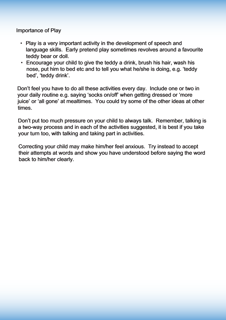Importance of Play

- Play is a very important activity in the development of speech and language skills. Early pretend play sometimes revolves around a favourite teddy bear or doll.
- Encourage your child to give the teddy a drink, brush his hair, wash his nose, put him to bed etc and to tell you what he/she is doing, e.g. 'teddy bed', 'teddy drink'.

Don't feel you have to do all these activities every day. Include one or two in your daily routine e.g. saying 'socks on/off' when getting dressed or 'more juice' or 'all gone' at mealtimes. You could try some of the other ideas at other times.

Don't put too much pressure on your child to always talk. Remember, talking is a two-way process and in each of the activities suggested, it is best if you take your turn too, with talking and taking part in activities.

Correcting your child may make him/her feel anxious. Try instead to accept their attempts at words and show you have understood before saying the word back to him/her clearly.